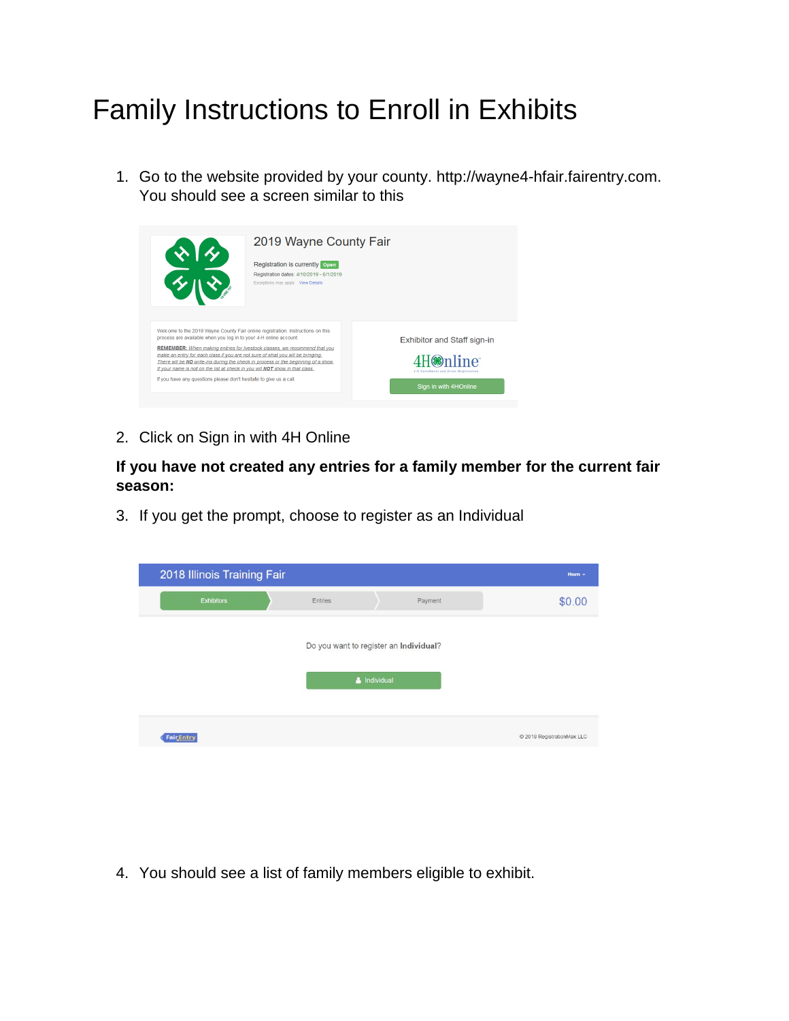## Family Instructions to Enroll in Exhibits

1. Go to the website provided by your county. http://wayne4-hfair.fairentry.com. You should see a screen similar to this

|                                                                                                                                                                                                                                                                                                                                                                                                                                                                                    | 2019 Wayne County Fair<br>Registration is currently open<br>Registration dates: 4/10/2019 - 6/1/2019<br>Exceptions may apply View Details |                                                                                                                |
|------------------------------------------------------------------------------------------------------------------------------------------------------------------------------------------------------------------------------------------------------------------------------------------------------------------------------------------------------------------------------------------------------------------------------------------------------------------------------------|-------------------------------------------------------------------------------------------------------------------------------------------|----------------------------------------------------------------------------------------------------------------|
| Welcome to the 2019 Wayne County Fair online registration. Instructions on this<br>process are available when you log in to your 4-H online account.<br>make an entry for each class if you are not sure of what you will be bringing.<br>There will be NO write-ins during the check in process or the beginning of a show.<br>If your name is not on the list at check in you will NOT show in that class.<br>If you have any questions please don't hesitate to give us a call. | <b>REMEMBER:</b> When making entries for livestock classes, we recommend that you                                                         | <b>Exhibitor and Staff sign-in</b><br>mline*<br>4-H Enrollment and Event Registration<br>Sign in with 4HOnline |

2. Click on Sign in with 4H Online

## **If you have not created any entries for a family member for the current fair season:**

3. If you get the prompt, choose to register as an Individual

| 2018 Illinois Training Fair |                                        |              |         | Horn -                     |
|-----------------------------|----------------------------------------|--------------|---------|----------------------------|
| <b>Exhibitors</b>           | Entries                                |              | Payment | \$0.00                     |
|                             | Do you want to register an Individual? | & Individual |         |                            |
| <b>Fair Entry</b>           |                                        |              |         | C 2018 RegistrationMax LLC |

4. You should see a list of family members eligible to exhibit.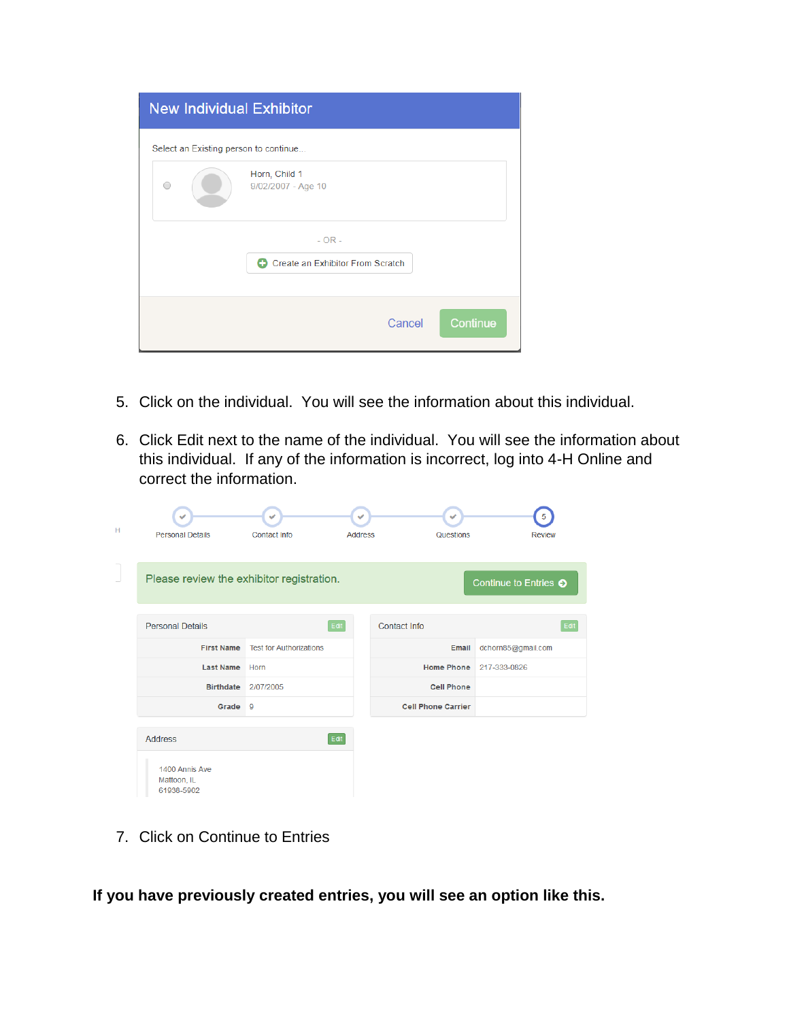| <b>New Individual Exhibitor</b>       |                                              |  |  |
|---------------------------------------|----------------------------------------------|--|--|
| Select an Existing person to continue |                                              |  |  |
|                                       | Horn, Child 1<br>9/02/2007 - Age 10          |  |  |
|                                       | $- OR -$<br>Create an Exhibitor From Scratch |  |  |
|                                       | Continue<br>Cancel                           |  |  |

- 5. Click on the individual. You will see the information about this individual.
- 6. Click Edit next to the name of the individual. You will see the information about this individual. If any of the information is incorrect, log into 4-H Online and correct the information.

| н | <b>Personal Details</b>                   | $\checkmark$<br>Contact Info   | ✓<br><b>Address</b> | $\checkmark$<br>Questions | 5<br><b>Review</b>          |
|---|-------------------------------------------|--------------------------------|---------------------|---------------------------|-----------------------------|
|   | Please review the exhibitor registration. |                                |                     |                           | Continue to Entries $\odot$ |
|   | <b>Personal Details</b>                   | Edit                           |                     | <b>Contact Info</b>       | Edit                        |
|   | <b>First Name</b>                         | <b>Test for Authorizations</b> |                     | Email                     | dchorn85@gmail.com          |
|   | <b>Last Name</b>                          | Horn                           |                     | <b>Home Phone</b>         | 217-333-0826                |
|   | <b>Birthdate</b>                          | 2/07/2005                      |                     | <b>Cell Phone</b>         |                             |
|   | Grade                                     | $\overline{9}$                 |                     | <b>Cell Phone Carrier</b> |                             |
|   | <b>Address</b><br>1400 Annis Ave          | Edit                           |                     |                           |                             |
|   | Mattoon, IL<br>61938-5902                 |                                |                     |                           |                             |

7. Click on Continue to Entries

**If you have previously created entries, you will see an option like this.**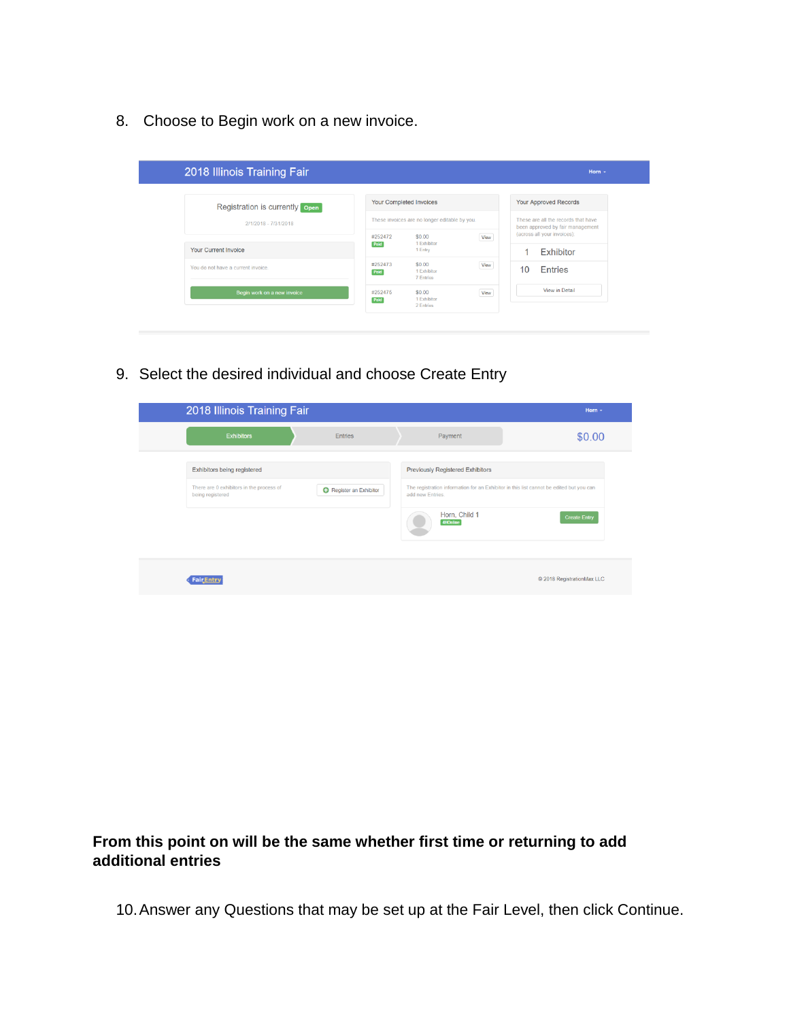8. Choose to Begin work on a new invoice.

|                                                        |                 | Your Completed Invoices                       |      |    | <b>Your Approved Records</b>                                    |
|--------------------------------------------------------|-----------------|-----------------------------------------------|------|----|-----------------------------------------------------------------|
| Registration is currently open<br>2/1/2018 - 7/31/2018 |                 | These invoices are no longer editable by you. |      |    | These are all the records that have                             |
|                                                        | #252472         | \$0.00<br>1 Exhibitor                         | View |    | been approved by fair management<br>(across all your invoices): |
| <b>Your Current Invoice</b>                            | Paid            | 1 Entry                                       |      |    | Exhibitor                                                       |
| You do not have a current invoice.                     | #252473<br>Paid | \$0.00<br>1 Exhibitor<br>7 Entries            | View | 10 | <b>Entries</b>                                                  |
| Begin work on a new invoice                            | #252475         | \$0.00                                        | View |    | View in Detail                                                  |

9. Select the desired individual and choose Create Entry

| 2018 Illinois Training Fair                                                                 |                       |                                                                                         | Horn -                                                                                                         |
|---------------------------------------------------------------------------------------------|-----------------------|-----------------------------------------------------------------------------------------|----------------------------------------------------------------------------------------------------------------|
| <b>Exhibitors</b>                                                                           | <b>Entries</b>        | Payment                                                                                 | \$0.00                                                                                                         |
| Exhibitors being registered<br>There are 0 exhibitors in the process of<br>being registered | Register an Exhibitor | <b>Previously Registered Exhibitors</b><br>add new Entries<br>Horn, Child 1<br>4HOnline | The registration information for an Exhibitor in this list cannot be edited but you can<br><b>Create Entry</b> |
| <b>Fair</b> Entry                                                                           |                       |                                                                                         | @ 2018 RegistrationMax LLC                                                                                     |

## **From this point on will be the same whether first time or returning to add additional entries**

10.Answer any Questions that may be set up at the Fair Level, then click Continue.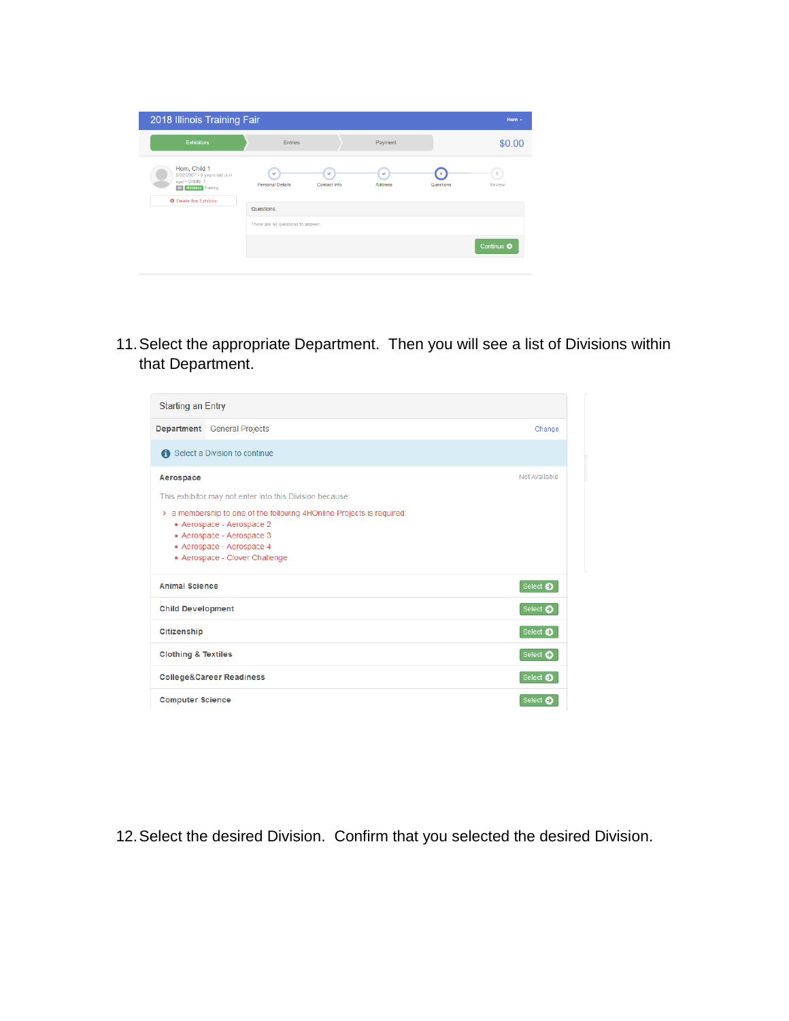| 2018 Illinois Training Fair                                                                                                       |                                                |                              |                         |                                      | Horn -      |
|-----------------------------------------------------------------------------------------------------------------------------------|------------------------------------------------|------------------------------|-------------------------|--------------------------------------|-------------|
| <b>Exhibitors</b>                                                                                                                 | <b>Entries</b>                                 |                              | Payment                 |                                      | \$0.00      |
| Horn, Child 1<br>9/02/2007 · 9 years old (4-H<br>age) · Grade: 7<br><b>#2 4HOnline</b> Training<br><b>O</b> Delete this Exhibitor | $\checkmark$<br><b>Personal Details</b>        | $\checkmark$<br>Contact Info | $\checkmark$<br>Address | $\boldsymbol{A}$<br><b>Questions</b> | 5<br>Review |
|                                                                                                                                   | Questions<br>There are no questions to answer. |                              |                         |                                      |             |
|                                                                                                                                   |                                                |                              |                         |                                      | Continue O  |

11.Select the appropriate Department. Then you will see a list of Divisions within that Department.

| <b>Starting an Entry</b>                                                                                                                                                                                                                                                                 |                                     |                  |
|------------------------------------------------------------------------------------------------------------------------------------------------------------------------------------------------------------------------------------------------------------------------------------------|-------------------------------------|------------------|
|                                                                                                                                                                                                                                                                                          | <b>Department</b> General Projects  | Change           |
|                                                                                                                                                                                                                                                                                          | Select a Division to continue       |                  |
| Not Available<br>Aerospace<br>This exhibitor may not enter into this Division because:<br>> a membership to one of the following 4HOnline Projects is required:<br>• Aerospace - Aerospace 2<br>• Aerospace - Aerospace 3<br>• Aerospace - Aerospace 4<br>• Aerospace - Clover Challenge |                                     |                  |
| <b>Animal Science</b>                                                                                                                                                                                                                                                                    |                                     | Select $\bullet$ |
| <b>Child Development</b>                                                                                                                                                                                                                                                                 |                                     | Select $\bullet$ |
| <b>Citizenship</b>                                                                                                                                                                                                                                                                       |                                     | Select $\bullet$ |
| <b>Clothing &amp; Textiles</b>                                                                                                                                                                                                                                                           |                                     | Select $\bullet$ |
|                                                                                                                                                                                                                                                                                          | <b>College&amp;Career Readiness</b> | Select $\bullet$ |
| <b>Computer Science</b>                                                                                                                                                                                                                                                                  |                                     | Select $\bullet$ |

12.Select the desired Division. Confirm that you selected the desired Division.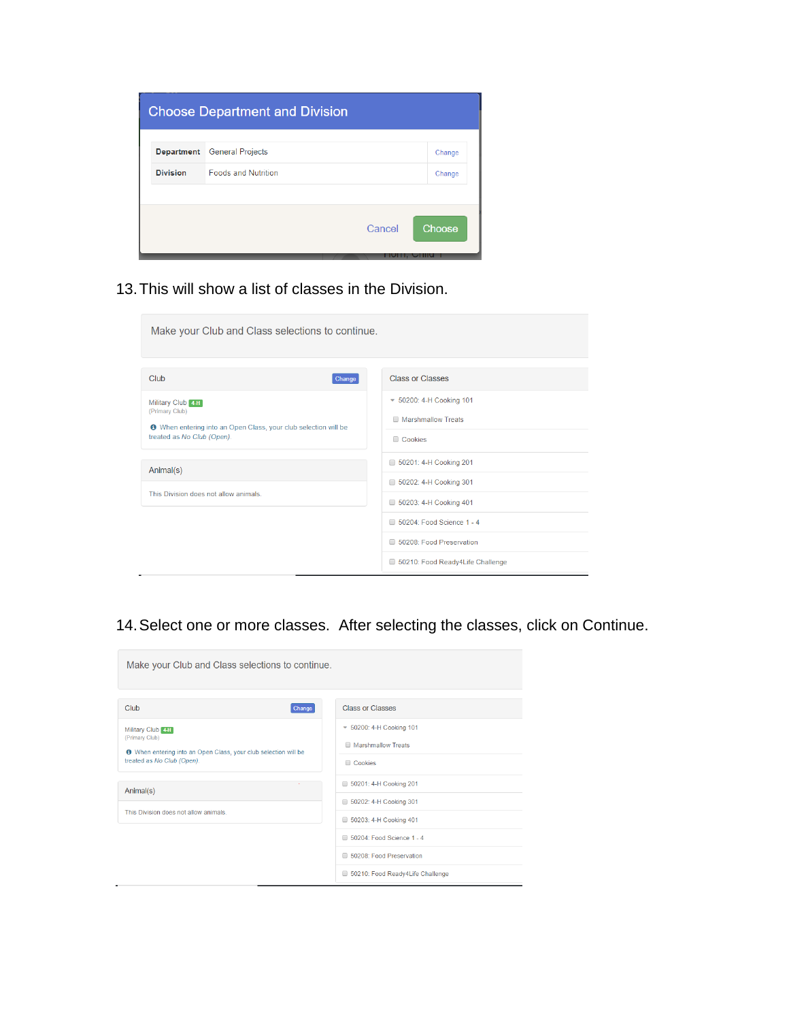| <b>Choose Department and Division</b> |        |
|---------------------------------------|--------|
| <b>General Projects</b>               | Change |
| <b>Foods and Nutrition</b>            | Change |
|                                       |        |
| Cancel                                | Choose |
|                                       |        |

13.This will show a list of classes in the Division.

| Make your Club and Class selections to continue.                                                                                            |                                                                  |
|---------------------------------------------------------------------------------------------------------------------------------------------|------------------------------------------------------------------|
| Club<br>Change                                                                                                                              | <b>Class or Classes</b>                                          |
| Military Club 4-H<br>(Primary Club)<br><b>O</b> When entering into an Open Class, your club selection will be<br>treated as No Club (Open). | ▼ 50200: 4-H Cooking 101<br>Marshmallow Treats<br><b>Cookies</b> |
| Animal(s)                                                                                                                                   | 50201: 4-H Cooking 201<br>50202: 4-H Cooking 301                 |
| This Division does not allow animals.                                                                                                       | 50203: 4-H Cooking 401                                           |
|                                                                                                                                             | 50204: Food Science 1 - 4                                        |
|                                                                                                                                             | 50208: Food Preservation                                         |
|                                                                                                                                             | 50210: Food Ready4Life Challenge                                 |

## 14.Select one or more classes. After selecting the classes, click on Continue.

| Make your Club and Class selections to continue.                                                                                           |                                                                   |
|--------------------------------------------------------------------------------------------------------------------------------------------|-------------------------------------------------------------------|
| Club<br>Change                                                                                                                             | <b>Class or Classes</b>                                           |
| Military Club 4H<br>(Primary Club)<br><b>O</b> When entering into an Open Class, your club selection will be<br>treated as No Club (Open). | $\sqrt{50200}$ : 4-H Cooking 101<br>Marshmallow Treats<br>Cookies |
| Animal(s)<br>This Division does not allow animals.                                                                                         | 50201: 4-H Cooking 201<br>50202: 4-H Cooking 301                  |
|                                                                                                                                            | 50203: 4-H Cooking 401<br>50204: Food Science 1 - 4               |
|                                                                                                                                            | 50208: Food Preservation<br>50210: Food Ready4Life Challenge      |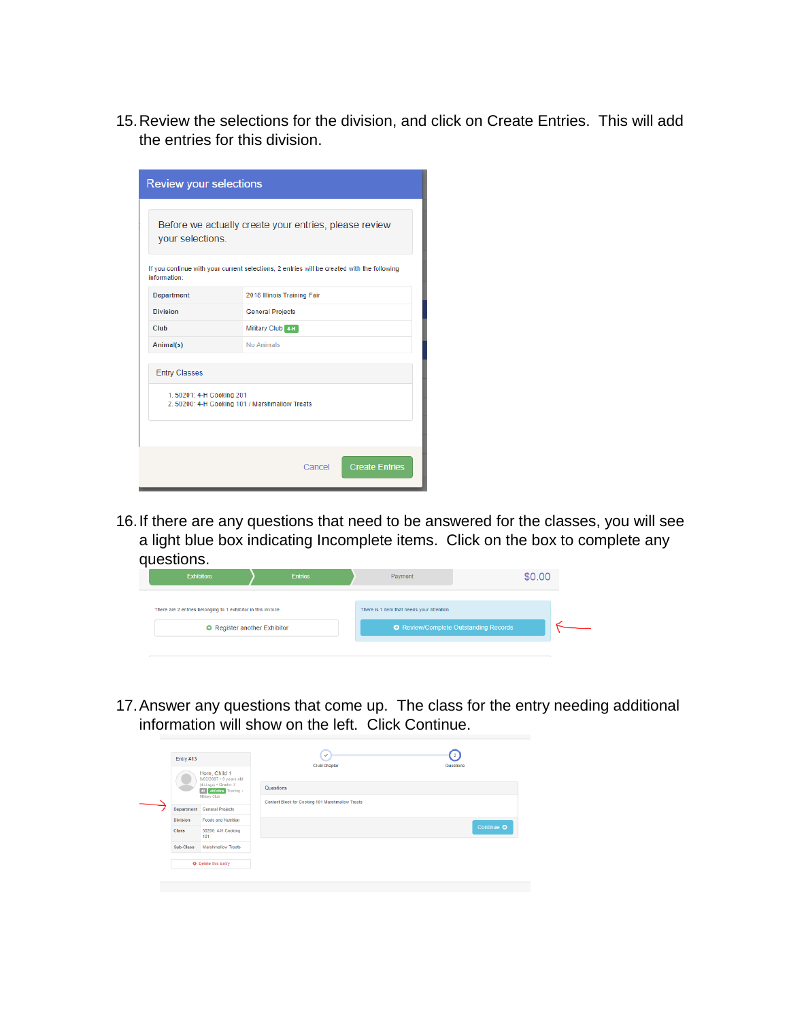15.Review the selections for the division, and click on Create Entries. This will add the entries for this division.

| <b>Review your selections</b>                                              |                                                                                            |
|----------------------------------------------------------------------------|--------------------------------------------------------------------------------------------|
| your selections.                                                           | Before we actually create your entries, please review                                      |
| information:                                                               | If you continue with your current selections, 2 entries will be created with the following |
| <b>Department</b>                                                          | 2018 Illinois Training Fair                                                                |
| <b>Division</b>                                                            | <b>General Projects</b>                                                                    |
| Club                                                                       | Military Club 4-H                                                                          |
| Animal(s)                                                                  | No Animals                                                                                 |
| <b>Entry Classes</b>                                                       |                                                                                            |
| 1.50201: 4-H Cooking 201<br>2. 50200: 4-H Cooking 101 / Marshmallow Treats |                                                                                            |
|                                                                            |                                                                                            |
|                                                                            | <b>Create Entries</b><br>Cancel                                                            |

16.If there are any questions that need to be answered for the classes, you will see a light blue box indicating Incomplete items. Click on the box to complete any questions.

| <b>Exhibitors</b>                                             | <b>Entries</b> | Payment                                   | \$0.00                                |  |
|---------------------------------------------------------------|----------------|-------------------------------------------|---------------------------------------|--|
| There are 2 entries belonging to 1 exhibitor in this invoice. |                | There is 1 item that needs your attention |                                       |  |
| <b>O</b> Register another Exhibitor                           |                |                                           | ● Review/Complete Outstanding Records |  |
|                                                               |                |                                           |                                       |  |

17.Answer any questions that come up. The class for the entry needing additional information will show on the left. Click Continue.

| Entry #13       |                                                                                                                                        | $^{2}$<br>$\checkmark$<br>Club/Chapter                        | Questions  |  |  |
|-----------------|----------------------------------------------------------------------------------------------------------------------------------------|---------------------------------------------------------------|------------|--|--|
| Department      | Horn, Child 1<br>9/02/2007 · 9 years old<br>(4-H age) • Grade: 7<br>#2 4HOnline Training -<br>Military Club<br><b>General Projects</b> | Questions<br>Content Block for Cooking 101 Marshmallow Treats |            |  |  |
| <b>Division</b> | <b>Foods and Nutrition</b>                                                                                                             |                                                               |            |  |  |
| Class           | 50200: 4-H Cooking<br>101                                                                                                              |                                                               | Continue O |  |  |
| Sub-Class       | <b>Marshmallow Treats</b>                                                                                                              |                                                               |            |  |  |
|                 | <b>O</b> Delete this Entry                                                                                                             |                                                               |            |  |  |
|                 |                                                                                                                                        |                                                               |            |  |  |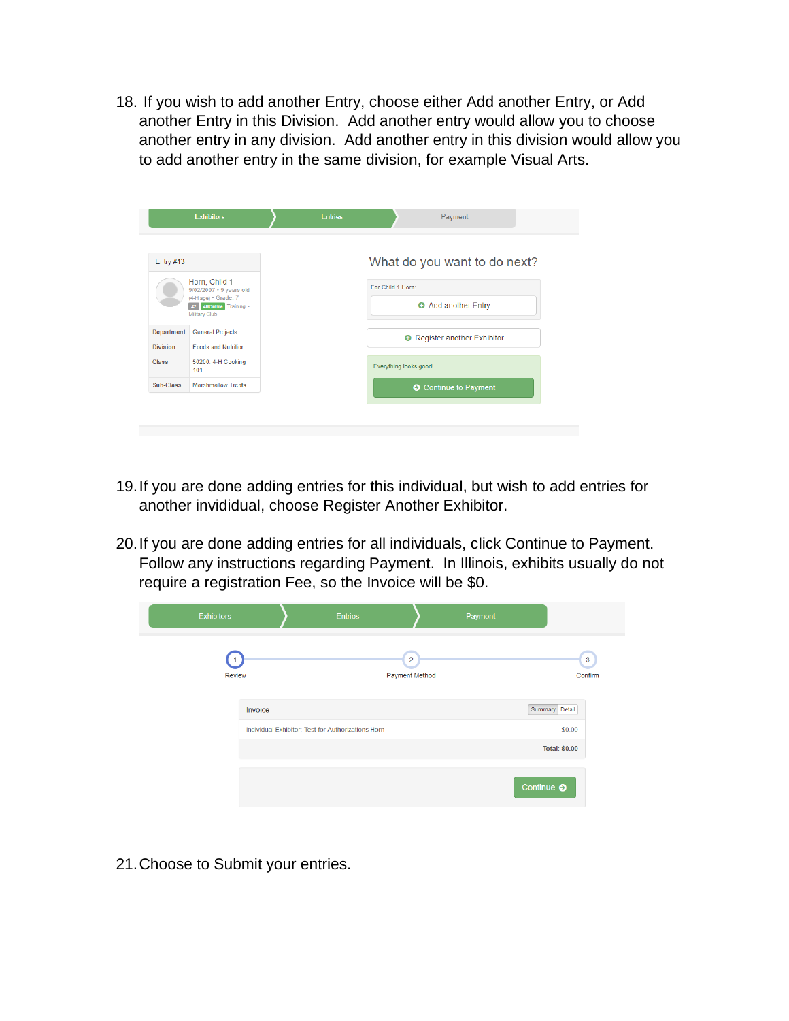18. If you wish to add another Entry, choose either Add another Entry, or Add another Entry in this Division. Add another entry would allow you to choose another entry in any division. Add another entry in this division would allow you to add another entry in the same division, for example Visual Arts.

|                 | <b>Exhibitors</b>                                                                                                 | <b>Entries</b> | Payment                                |
|-----------------|-------------------------------------------------------------------------------------------------------------------|----------------|----------------------------------------|
| Entry #13       |                                                                                                                   |                | What do you want to do next?           |
|                 | Horn, Child 1<br>$9/02/2007 \cdot 9$ years old<br>(4-H age) • Grade: 7<br>#2 4HOnline Training -<br>Military Club |                | For Child 1 Horn:<br>Add another Entry |
| Department      | <b>General Projects</b>                                                                                           |                | <b>O</b> Register another Exhibitor    |
| <b>Division</b> | <b>Foods and Nutrition</b>                                                                                        |                |                                        |
| <b>Class</b>    | 50200: 4-H Cooking<br>101                                                                                         |                | Everything looks good!                 |
| Sub-Class       | <b>Marshmallow Treats</b>                                                                                         |                | <b>O</b> Continue to Payment           |

- 19.If you are done adding entries for this individual, but wish to add entries for another invididual, choose Register Another Exhibitor.
- 20.If you are done adding entries for all individuals, click Continue to Payment. Follow any instructions regarding Payment. In Illinois, exhibits usually do not require a registration Fee, so the Invoice will be \$0.

| <b>Exhibitors</b>          |         | <b>Entries</b>                                     |                                         | Payment |                           |
|----------------------------|---------|----------------------------------------------------|-----------------------------------------|---------|---------------------------|
| $\vert$ 1<br><b>Review</b> |         |                                                    | $\overline{2}$<br><b>Payment Method</b> |         | $\overline{3}$<br>Confirm |
|                            | Invoice |                                                    |                                         |         | Summary Detail            |
|                            |         | Individual Exhibitor: Test for Authorizations Horn |                                         |         | \$0.00                    |
|                            |         |                                                    |                                         |         | <b>Total: \$0.00</b>      |
|                            |         |                                                    |                                         |         | Continue O                |

21.Choose to Submit your entries.